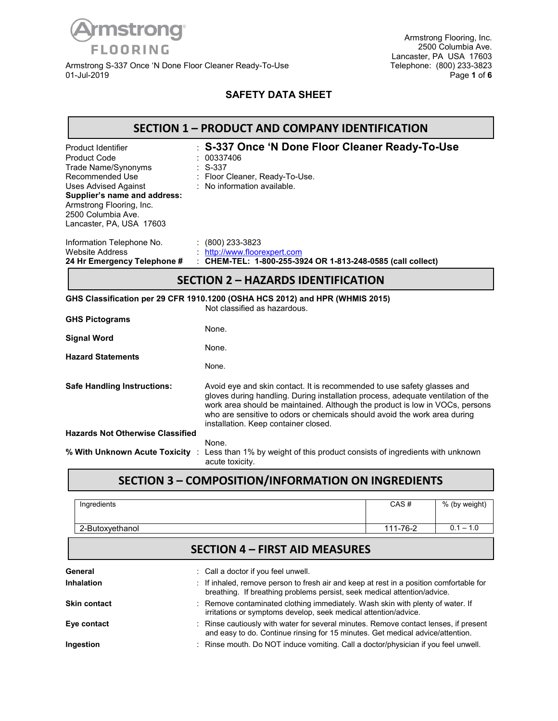

Armstrong S-337 Once 'N Done Floor Cleaner Ready-To-Use Telephone: (800) 233-3823 01-Jul-2019 Page **1** of **6**

Armstrong Flooring, Inc. 2500 Columbia Ave. Lancaster, PA USA 17603<br>Telephone: (800) 233-3823

#### **SAFETY DATA SHEET**

|                                                                                                                                                                                                                                  | <b>SECTION 1 - PRODUCT AND COMPANY IDENTIFICATION</b>                                                                                                                                                                                                                                                                                                            |  |  |  |  |
|----------------------------------------------------------------------------------------------------------------------------------------------------------------------------------------------------------------------------------|------------------------------------------------------------------------------------------------------------------------------------------------------------------------------------------------------------------------------------------------------------------------------------------------------------------------------------------------------------------|--|--|--|--|
| Product Identifier<br><b>Product Code</b><br>Trade Name/Synonyms<br>Recommended Use<br><b>Uses Advised Against</b><br>Supplier's name and address:<br>Armstrong Flooring, Inc.<br>2500 Columbia Ave.<br>Lancaster, PA, USA 17603 | S-337 Once 'N Done Floor Cleaner Ready-To-Use<br>00337406<br>S-337<br>: Floor Cleaner, Ready-To-Use.<br>: No information available.                                                                                                                                                                                                                              |  |  |  |  |
| Information Telephone No.<br><b>Website Address</b><br>24 Hr Emergency Telephone #                                                                                                                                               | $: (800)$ 233-3823<br>http://www.floorexpert.com<br>: CHEM-TEL: 1-800-255-3924 OR 1-813-248-0585 (call collect)                                                                                                                                                                                                                                                  |  |  |  |  |
| <b>SECTION 2 - HAZARDS IDENTIFICATION</b>                                                                                                                                                                                        |                                                                                                                                                                                                                                                                                                                                                                  |  |  |  |  |
|                                                                                                                                                                                                                                  | GHS Classification per 29 CFR 1910.1200 (OSHA HCS 2012) and HPR (WHMIS 2015)<br>Not classified as hazardous.                                                                                                                                                                                                                                                     |  |  |  |  |
| <b>GHS Pictograms</b>                                                                                                                                                                                                            | None.                                                                                                                                                                                                                                                                                                                                                            |  |  |  |  |
| <b>Signal Word</b>                                                                                                                                                                                                               | None.                                                                                                                                                                                                                                                                                                                                                            |  |  |  |  |
| <b>Hazard Statements</b>                                                                                                                                                                                                         | None.                                                                                                                                                                                                                                                                                                                                                            |  |  |  |  |
| <b>Safe Handling Instructions:</b>                                                                                                                                                                                               | Avoid eye and skin contact. It is recommended to use safety glasses and<br>gloves during handling. During installation process, adequate ventilation of the<br>work area should be maintained. Although the product is low in VOCs, persons<br>who are sensitive to odors or chemicals should avoid the work area during<br>installation. Keep container closed. |  |  |  |  |
| <b>Hazards Not Otherwise Classified</b>                                                                                                                                                                                          |                                                                                                                                                                                                                                                                                                                                                                  |  |  |  |  |
| % With Unknown Acute Toxicity :                                                                                                                                                                                                  | None.<br>Less than 1% by weight of this product consists of ingredients with unknown<br>acute toxicity.                                                                                                                                                                                                                                                          |  |  |  |  |
|                                                                                                                                                                                                                                  | .                                                                                                                                                                                                                                                                                                                                                                |  |  |  |  |

### **SECTION 3 – COMPOSITION/INFORMATION ON INGREDIENTS**

| Ingredients     | CAS#     | % (by weight) |
|-----------------|----------|---------------|
| 2-Butoxyethanol | 111-76-2 | $0.1 - 1.0$   |

# **SECTION 4 – FIRST AID MEASURES**

| General<br>Inhalation | Call a doctor if you feel unwell.<br>: If inhaled, remove person to fresh air and keep at rest in a position comfortable for<br>breathing. If breathing problems persist, seek medical attention/advice. |
|-----------------------|----------------------------------------------------------------------------------------------------------------------------------------------------------------------------------------------------------|
| <b>Skin contact</b>   | : Remove contaminated clothing immediately. Wash skin with plenty of water. If<br>irritations or symptoms develop, seek medical attention/advice.                                                        |
| Eye contact           | : Rinse cautiously with water for several minutes. Remove contact lenses, if present<br>and easy to do. Continue rinsing for 15 minutes. Get medical advice/attention.                                   |
| Ingestion             | : Rinse mouth. Do NOT induce vomiting. Call a doctor/physician if you feel unwell.                                                                                                                       |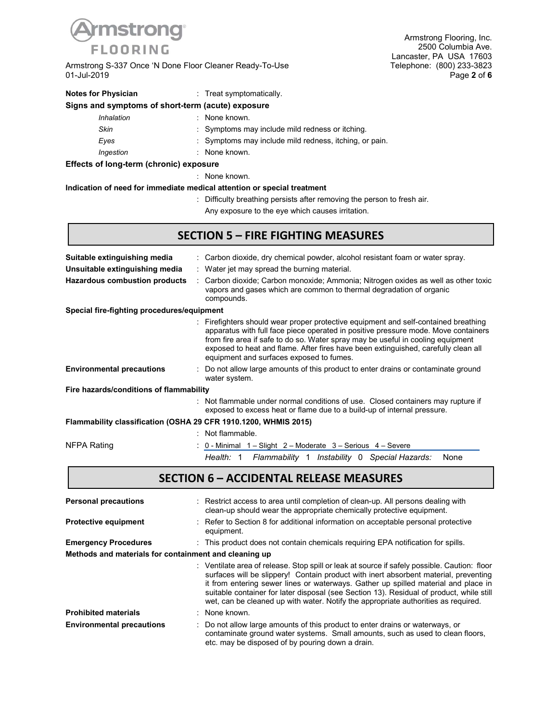

Armstrong S-337 Once 'N Done Floor Cleaner Ready-To-Use 01-Jul-2019

Armstrong Flooring, Inc. 2500 Columbia Ave. Lancaster, PA USA 17603<br>Telephone: (800) 233-3823 01-Jul-2019 Page **2** of **6**

| <b>Notes for Physician</b>                        | Treat symptomatically.                                                  |
|---------------------------------------------------|-------------------------------------------------------------------------|
| Signs and symptoms of short-term (acute) exposure |                                                                         |
| Inhalation                                        | : None known.                                                           |
| Skin                                              | : Symptoms may include mild redness or itching.                         |
| Eyes                                              | : Symptoms may include mild redness, itching, or pain.                  |
| Ingestion                                         | : None known.                                                           |
| Effects of long-term (chronic) exposure           |                                                                         |
|                                                   | : None known.                                                           |
|                                                   | Indication of need for immediate medical attention or special treatment |
|                                                   | : Difficulty breathing persists after removing the person to fresh air. |

Any exposure to the eye which causes irritation.

### **SECTION 5 – FIRE FIGHTING MEASURES**

| Suitable extinguishing media                                    | : Carbon dioxide, dry chemical powder, alcohol resistant foam or water spray.                                                                                                                                                                                                                                                                                                                  |  |  |  |  |
|-----------------------------------------------------------------|------------------------------------------------------------------------------------------------------------------------------------------------------------------------------------------------------------------------------------------------------------------------------------------------------------------------------------------------------------------------------------------------|--|--|--|--|
| Unsuitable extinguishing media                                  | : Water jet may spread the burning material.                                                                                                                                                                                                                                                                                                                                                   |  |  |  |  |
| Hazardous combustion products                                   | : Carbon dioxide; Carbon monoxide; Ammonia; Nitrogen oxides as well as other toxic<br>vapors and gases which are common to thermal degradation of organic<br>compounds.                                                                                                                                                                                                                        |  |  |  |  |
| Special fire-fighting procedures/equipment                      |                                                                                                                                                                                                                                                                                                                                                                                                |  |  |  |  |
|                                                                 | : Firefighters should wear proper protective equipment and self-contained breathing<br>apparatus with full face piece operated in positive pressure mode. Move containers<br>from fire area if safe to do so. Water spray may be useful in cooling equipment<br>exposed to heat and flame. After fires have been extinguished, carefully clean all<br>equipment and surfaces exposed to fumes. |  |  |  |  |
| <b>Environmental precautions</b>                                | : Do not allow large amounts of this product to enter drains or contaminate ground<br>water system.                                                                                                                                                                                                                                                                                            |  |  |  |  |
| Fire hazards/conditions of flammability                         |                                                                                                                                                                                                                                                                                                                                                                                                |  |  |  |  |
|                                                                 | : Not flammable under normal conditions of use. Closed containers may rupture if<br>exposed to excess heat or flame due to a build-up of internal pressure.                                                                                                                                                                                                                                    |  |  |  |  |
| Flammability classification (OSHA 29 CFR 1910.1200, WHMIS 2015) |                                                                                                                                                                                                                                                                                                                                                                                                |  |  |  |  |
|                                                                 | : Not flammable.                                                                                                                                                                                                                                                                                                                                                                               |  |  |  |  |

NFPA Rating  $\therefore$  0 - Minimal 1 – Slight 2 – Moderate 3 – Serious 4 – Severe

*Health:* 1 *Flammability* 1 *Instability* 0 *Special Hazards:* None

### **SECTION 6 – ACCIDENTAL RELEASE MEASURES**

| <b>Personal precautions</b>                           | : Restrict access to area until completion of clean-up. All persons dealing with<br>clean-up should wear the appropriate chemically protective equipment.                                                                                                                                                                                                                                                                                                  |
|-------------------------------------------------------|------------------------------------------------------------------------------------------------------------------------------------------------------------------------------------------------------------------------------------------------------------------------------------------------------------------------------------------------------------------------------------------------------------------------------------------------------------|
| <b>Protective equipment</b>                           | Refer to Section 8 for additional information on acceptable personal protective<br>equipment.                                                                                                                                                                                                                                                                                                                                                              |
| <b>Emergency Procedures</b>                           | : This product does not contain chemicals requiring EPA notification for spills.                                                                                                                                                                                                                                                                                                                                                                           |
| Methods and materials for containment and cleaning up |                                                                                                                                                                                                                                                                                                                                                                                                                                                            |
|                                                       | Ventilate area of release. Stop spill or leak at source if safely possible. Caution: floor<br>surfaces will be slippery! Contain product with inert absorbent material, preventing<br>it from entering sewer lines or waterways. Gather up spilled material and place in<br>suitable container for later disposal (see Section 13). Residual of product, while still<br>wet, can be cleaned up with water. Notify the appropriate authorities as required. |
| <b>Prohibited materials</b>                           | : None known.                                                                                                                                                                                                                                                                                                                                                                                                                                              |
| <b>Environmental precautions</b>                      | : Do not allow large amounts of this product to enter drains or waterways, or<br>contaminate ground water systems. Small amounts, such as used to clean floors,<br>etc. may be disposed of by pouring down a drain.                                                                                                                                                                                                                                        |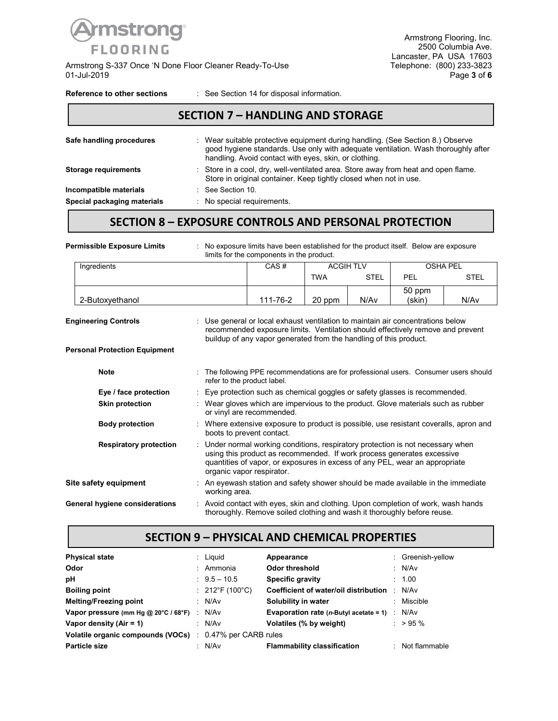

Armstrong S-337 Once 'N Done Floor Cleaner Ready-To-Use Telephone: (800) 233-3823<br>16 Page 3 of 6 01-Jul-2019 Page **3** of **6**

Armstrong Flooring, Inc. 2500 Columbia Ave. Lancaster, PA USA 17603<br>Telephone: (800) 233-3823

#### **Reference to other sections** : See Section 14 for disposal information.

### Safe handling procedures : Wear suitable protective equipment during handling. (See Section 8.) Observe good hygiene standards. Use only with adequate ventilation. Wash thoroughly after handling. Avoid contact with eyes, skin, or clothing. **Storage requirements** : Store in a cool, dry, well-ventilated area. Store away from heat and open flame. Store in original container. Keep tightly closed when not in use. **Incompatible materials** : See Section 10. **Special packaging materials** : No special requirements. **SECTION 7 – HANDLING AND STORAGE**

### **SECTION 8 – EXPOSURE CONTROLS AND PERSONAL PROTECTION**

| <b>Permissible Exposure Limits</b>                                  |                                                                                                                                                                                                                                      |                                                                                                                                                                                                                                                                     | No exposure limits have been established for the product itself. Below are exposure<br>limits for the components in the product.                             |            |                 |                  |             |
|---------------------------------------------------------------------|--------------------------------------------------------------------------------------------------------------------------------------------------------------------------------------------------------------------------------------|---------------------------------------------------------------------------------------------------------------------------------------------------------------------------------------------------------------------------------------------------------------------|--------------------------------------------------------------------------------------------------------------------------------------------------------------|------------|-----------------|------------------|-------------|
| Ingredients                                                         |                                                                                                                                                                                                                                      |                                                                                                                                                                                                                                                                     | <b>ACGIH TLV</b><br>CAS#                                                                                                                                     |            | <b>OSHA PEL</b> |                  |             |
|                                                                     |                                                                                                                                                                                                                                      |                                                                                                                                                                                                                                                                     |                                                                                                                                                              | <b>TWA</b> | <b>STEL</b>     | <b>PEL</b>       | <b>STEL</b> |
| 2-Butoxyethanol                                                     |                                                                                                                                                                                                                                      |                                                                                                                                                                                                                                                                     | 111-76-2                                                                                                                                                     | 20 ppm     | N/Av            | 50 ppm<br>(skin) | N/Av        |
| <b>Engineering Controls</b><br><b>Personal Protection Equipment</b> | Use general or local exhaust ventilation to maintain air concentrations below<br>recommended exposure limits. Ventilation should effectively remove and prevent<br>buildup of any vapor generated from the handling of this product. |                                                                                                                                                                                                                                                                     |                                                                                                                                                              |            |                 |                  |             |
|                                                                     |                                                                                                                                                                                                                                      |                                                                                                                                                                                                                                                                     |                                                                                                                                                              |            |                 |                  |             |
| <b>Note</b>                                                         |                                                                                                                                                                                                                                      |                                                                                                                                                                                                                                                                     | : The following PPE recommendations are for professional users. Consumer users should<br>refer to the product label.                                         |            |                 |                  |             |
| Eye / face protection                                               |                                                                                                                                                                                                                                      | : Eye protection such as chemical goggles or safety glasses is recommended.                                                                                                                                                                                         |                                                                                                                                                              |            |                 |                  |             |
| <b>Skin protection</b>                                              |                                                                                                                                                                                                                                      | : Wear gloves which are impervious to the product. Glove materials such as rubber<br>or vinyl are recommended.                                                                                                                                                      |                                                                                                                                                              |            |                 |                  |             |
| <b>Body protection</b>                                              |                                                                                                                                                                                                                                      | : Where extensive exposure to product is possible, use resistant coveralls, apron and<br>boots to prevent contact.                                                                                                                                                  |                                                                                                                                                              |            |                 |                  |             |
| <b>Respiratory protection</b>                                       |                                                                                                                                                                                                                                      | Under normal working conditions, respiratory protection is not necessary when<br>using this product as recommended. If work process generates excessive<br>quantities of vapor, or exposures in excess of any PEL, wear an appropriate<br>organic vapor respirator. |                                                                                                                                                              |            |                 |                  |             |
| Site safety equipment                                               |                                                                                                                                                                                                                                      | working area.                                                                                                                                                                                                                                                       | : An eyewash station and safety shower should be made available in the immediate                                                                             |            |                 |                  |             |
| General hygiene considerations                                      |                                                                                                                                                                                                                                      |                                                                                                                                                                                                                                                                     | : Avoid contact with eyes, skin and clothing. Upon completion of work, wash hands<br>thoroughly. Remove soiled clothing and wash it thoroughly before reuse. |            |                 |                  |             |

### **SECTION 9 – PHYSICAL AND CHEMICAL PROPERTIES**

| <b>Physical state</b>                                           | : Liguid                       | Appearance                                                      | : Greenish-yellow |
|-----------------------------------------------------------------|--------------------------------|-----------------------------------------------------------------|-------------------|
| Odor                                                            | : Ammonia                      | <b>Odor threshold</b>                                           | : N/Av            |
| pH                                                              | $: 9.5 - 10.5$                 | <b>Specific gravity</b>                                         | : 1.00            |
| <b>Boiling point</b>                                            | : $212^{\circ}F(100^{\circ}C)$ | Coefficient of water/oil distribution                           | : N/Av            |
| <b>Melting/Freezing point</b>                                   | : N/Av                         | Solubility in water                                             | : Miscible        |
| Vapor pressure (mm Hg @ 20°C / 68°F) : N/Av                     |                                | <b>Evaporation rate (n-Butyl acetate = 1)</b> $\therefore$ N/Av |                   |
| Vapor density (Air = 1)                                         | : N/Av                         | Volatiles (% by weight)                                         | $:$ > 95 %        |
| <b>Volatile organic compounds (VOCs)</b> : 0.47% per CARB rules |                                |                                                                 |                   |
| <b>Particle size</b>                                            | : N/Av                         | <b>Flammability classification</b>                              | $:$ Not flammable |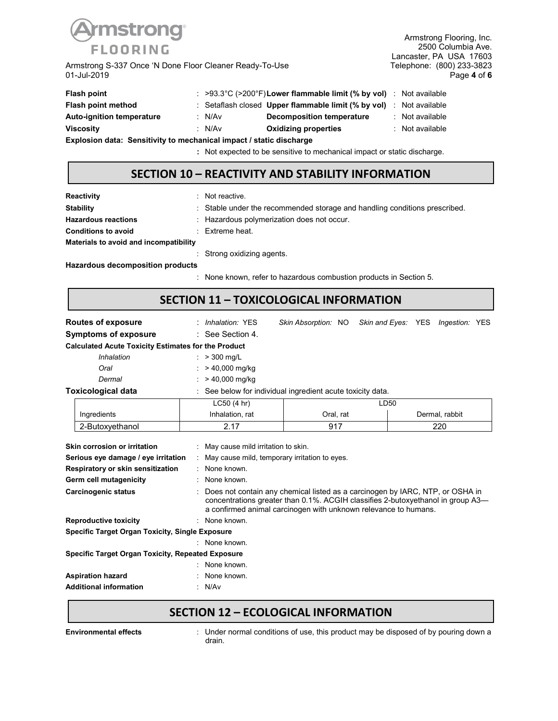

Armstrong S-337 Once 'N Done Floor Cleaner Ready-To-Use 01-Jul-2019

Armstrong Flooring, Inc. 2500 Columbia Ave. Lancaster, PA USA 17603<br>Telephone: (800) 233-3823 01-Jul-2019 Page **4** of **6**

| Flash point                                                         |  |        | $\approx$ >93.3°C (>200°F) Lower flammable limit (% by vol) Not available       |  |                 |  |
|---------------------------------------------------------------------|--|--------|---------------------------------------------------------------------------------|--|-----------------|--|
| Flash point method                                                  |  |        | Setaflash closed Upper flammable limit $(\%$ by vol) $\therefore$ Not available |  |                 |  |
| <b>Auto-ignition temperature</b>                                    |  | : N/Av | Decomposition temperature                                                       |  | : Not available |  |
| <b>Viscosity</b>                                                    |  | : N/Av | <b>Oxidizing properties</b>                                                     |  | : Not available |  |
| Explosion data: Sensitivity to mechanical impact / static discharge |  |        |                                                                                 |  |                 |  |

**:** Not expected to be sensitive to mechanical impact or static discharge.

### **SECTION 10 – REACTIVITY AND STABILITY INFORMATION**

| Reactivity                             | Not reactive.                                                              |  |  |  |  |
|----------------------------------------|----------------------------------------------------------------------------|--|--|--|--|
| <b>Stability</b>                       | : Stable under the recommended storage and handling conditions prescribed. |  |  |  |  |
| <b>Hazardous reactions</b>             | : Hazardous polymerization does not occur.                                 |  |  |  |  |
| <b>Conditions to avoid</b>             | $\therefore$ Extreme heat.                                                 |  |  |  |  |
| Materials to avoid and incompatibility |                                                                            |  |  |  |  |
|                                        | : Strong oxidizing agents.                                                 |  |  |  |  |
| Hazardous decomposition products       |                                                                            |  |  |  |  |

: None known, refer to hazardous combustion products in Section 5.

## **SECTION 11 – TOXICOLOGICAL INFORMATION**

| Routes of exposure                                                                                                        | : Inhalation: YES                                                                                                     |                                                                                                                                                  |      | Skin Absorption: NO Skin and Eyes: YES Ingestion: YES                           |  |  |  |  |  |
|---------------------------------------------------------------------------------------------------------------------------|-----------------------------------------------------------------------------------------------------------------------|--------------------------------------------------------------------------------------------------------------------------------------------------|------|---------------------------------------------------------------------------------|--|--|--|--|--|
| <b>Symptoms of exposure</b>                                                                                               | $\therefore$ See Section 4.                                                                                           |                                                                                                                                                  |      |                                                                                 |  |  |  |  |  |
| <b>Calculated Acute Toxicity Estimates for the Product</b>                                                                |                                                                                                                       |                                                                                                                                                  |      |                                                                                 |  |  |  |  |  |
| Inhalation                                                                                                                | : $> 300 \text{ mq/L}$                                                                                                |                                                                                                                                                  |      |                                                                                 |  |  |  |  |  |
| Oral                                                                                                                      | > 40,000 mg/kg                                                                                                        |                                                                                                                                                  |      |                                                                                 |  |  |  |  |  |
| Dermal                                                                                                                    | $:$ > 40,000 mg/kg                                                                                                    |                                                                                                                                                  |      |                                                                                 |  |  |  |  |  |
| <b>Toxicological data</b>                                                                                                 | : See below for individual ingredient acute toxicity data.                                                            |                                                                                                                                                  |      |                                                                                 |  |  |  |  |  |
|                                                                                                                           | LC50 (4 hr)                                                                                                           |                                                                                                                                                  | LD50 |                                                                                 |  |  |  |  |  |
| Ingredients                                                                                                               | Inhalation, rat                                                                                                       | Oral, rat                                                                                                                                        |      | Dermal, rabbit                                                                  |  |  |  |  |  |
| 2-Butoxyethanol                                                                                                           | 2.17                                                                                                                  | 917                                                                                                                                              |      | 220                                                                             |  |  |  |  |  |
| Serious eye damage / eye irritation<br>Respiratory or skin sensitization<br>Germ cell mutagenicity<br>Carcinogenic status | : May cause mild irritation to skin.<br>May cause mild, temporary irritation to eyes.<br>: None known.<br>None known. | Does not contain any chemical listed as a carcinogen by IARC, NTP, or OSHA in<br>a confirmed animal carcinogen with unknown relevance to humans. |      | concentrations greater than 0.1%. ACGIH classifies 2-butoxyethanol in group A3- |  |  |  |  |  |
| <b>Reproductive toxicity</b>                                                                                              | : None known.                                                                                                         |                                                                                                                                                  |      |                                                                                 |  |  |  |  |  |
| <b>Specific Target Organ Toxicity, Single Exposure</b>                                                                    |                                                                                                                       |                                                                                                                                                  |      |                                                                                 |  |  |  |  |  |
|                                                                                                                           | None known.                                                                                                           |                                                                                                                                                  |      |                                                                                 |  |  |  |  |  |
| <b>Specific Target Organ Toxicity, Repeated Exposure</b>                                                                  |                                                                                                                       |                                                                                                                                                  |      |                                                                                 |  |  |  |  |  |
|                                                                                                                           | None known.                                                                                                           |                                                                                                                                                  |      |                                                                                 |  |  |  |  |  |
| <b>Aspiration hazard</b>                                                                                                  | None known.                                                                                                           |                                                                                                                                                  |      |                                                                                 |  |  |  |  |  |
| <b>Additional information</b>                                                                                             | : N/Av                                                                                                                |                                                                                                                                                  |      |                                                                                 |  |  |  |  |  |

## **SECTION 12 – ECOLOGICAL INFORMATION**

**Environmental effects** : Under normal conditions of use, this product may be disposed of by pouring down a drain.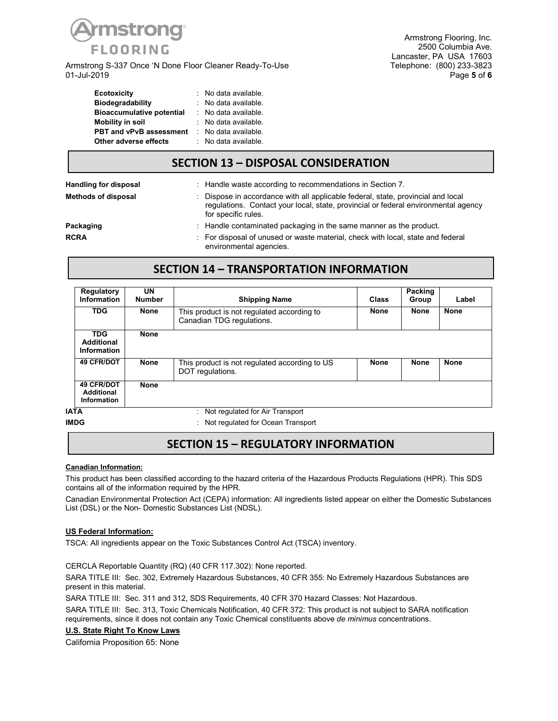

Armstrong S-337 Once 'N Done Floor Cleaner Ready-To-Use<br>01-Jul-2019 01-Jul-2019 Page **5** of **6**

| <b>Ecotoxicity</b>               | : No data available. |
|----------------------------------|----------------------|
| <b>Biodegradability</b>          | : No data available. |
| <b>Bioaccumulative potential</b> | : No data available. |
| <b>Mobility in soil</b>          | : No data available. |
| <b>PBT and vPvB assessment</b>   | : No data available. |
| Other adverse effects            | : No data available. |

### **SECTION 13 – DISPOSAL CONSIDERATION**

| Handling for disposal      | : Handle waste according to recommendations in Section 7.                                                                                                                                   |
|----------------------------|---------------------------------------------------------------------------------------------------------------------------------------------------------------------------------------------|
| <b>Methods of disposal</b> | Dispose in accordance with all applicable federal, state, provincial and local<br>regulations. Contact your local, state, provincial or federal environmental agency<br>for specific rules. |
| Packaging                  | $\therefore$ Handle contaminated packaging in the same manner as the product.                                                                                                               |
| <b>RCRA</b>                | : For disposal of unused or waste material, check with local, state and federal<br>environmental agencies.                                                                                  |

### **SECTION 14 – TRANSPORTATION INFORMATION**

| Regulatory<br>Information                             | <b>UN</b><br><b>Number</b> | <b>Shipping Name</b>                                                    | <b>Class</b> | Packing<br>Group | Label       |
|-------------------------------------------------------|----------------------------|-------------------------------------------------------------------------|--------------|------------------|-------------|
| <b>TDG</b>                                            | <b>None</b>                | This product is not regulated according to<br>Canadian TDG regulations. | <b>None</b>  | None             | <b>None</b> |
| <b>TDG</b><br><b>Additional</b><br>Information        | <b>None</b>                |                                                                         |              |                  |             |
| 49 CFR/DOT                                            | <b>None</b>                | This product is not regulated according to US<br>DOT regulations.       | <b>None</b>  | <b>None</b>      | <b>None</b> |
| <b>49 CFR/DOT</b><br>Additional<br><b>Information</b> | <b>None</b>                | .<br>$\sim$ $\sim$                                                      |              |                  |             |

**IATA** : Not regulated for Air Transport

**IMDG** : Not regulated for Ocean Transport

### **SECTION 15 – REGULATORY INFORMATION**

#### **Canadian Information:**

This product has been classified according to the hazard criteria of the Hazardous Products Regulations (HPR). This SDS contains all of the information required by the HPR.

Canadian Environmental Protection Act (CEPA) information: All ingredients listed appear on either the Domestic Substances List (DSL) or the Non- Domestic Substances List (NDSL).

#### **US Federal Information:**

TSCA: All ingredients appear on the Toxic Substances Control Act (TSCA) inventory.

CERCLA Reportable Quantity (RQ) (40 CFR 117.302): None reported.

SARA TITLE III: Sec. 302, Extremely Hazardous Substances, 40 CFR 355: No Extremely Hazardous Substances are present in this material.

SARA TITLE III: Sec. 311 and 312, SDS Requirements, 40 CFR 370 Hazard Classes: Not Hazardous.

SARA TITLE III: Sec. 313, Toxic Chemicals Notification, 40 CFR 372: This product is not subject to SARA notification requirements, since it does not contain any Toxic Chemical constituents above *de minimus* concentrations.

#### **U.S. State Right To Know Laws**

California Proposition 65: None